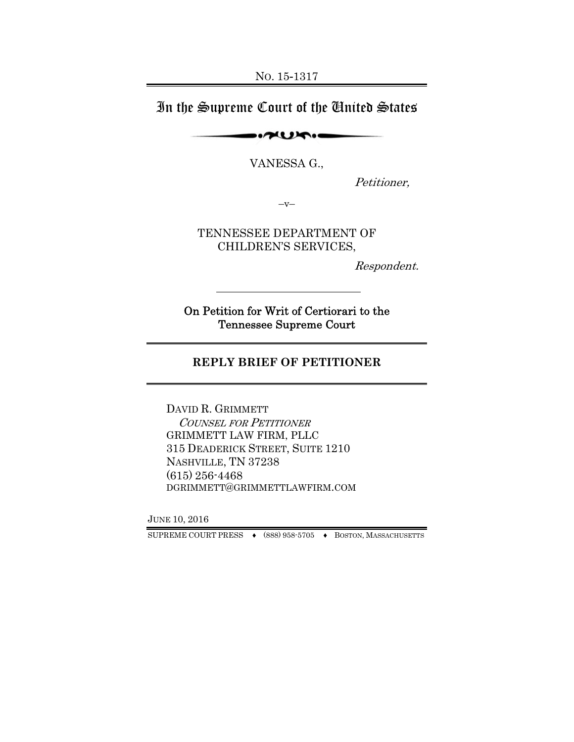## In the Supreme Court of the United States

 $\sim$ 

VANESSA G.,

Petitioner,

 $-V-$ 

TENNESSEE DEPARTMENT OF CHILDREN'S SERVICES,

Respondent.

On Petition for Writ of Certiorari to the Tennessee Supreme Court

#### **REPLY BRIEF OF PETITIONER**

DAVID R. GRIMMETT COUNSEL FOR PETITIONER GRIMMETT LAW FIRM, PLLC 315 DEADERICK STREET, SUITE 1210 NASHVILLE, TN 37238 (615) 256-4468 DGRIMMETT@GRIMMETTLAWFIRM.COM

JUNE 10, 2016

SUPREME COURT PRESS ♦ (888) 958-5705 ♦ BOSTON, MASSACHUSETTS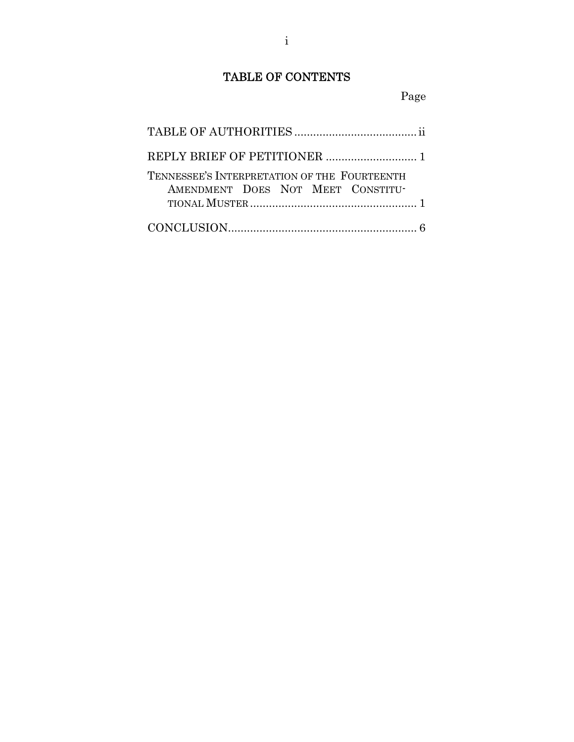## TABLE OF CONTENTS

### Page

| TENNESSEE'S INTERPRETATION OF THE FOURTEENTH<br>AMENDMENT DOES NOT MEET CONSTITU- |  |
|-----------------------------------------------------------------------------------|--|
|                                                                                   |  |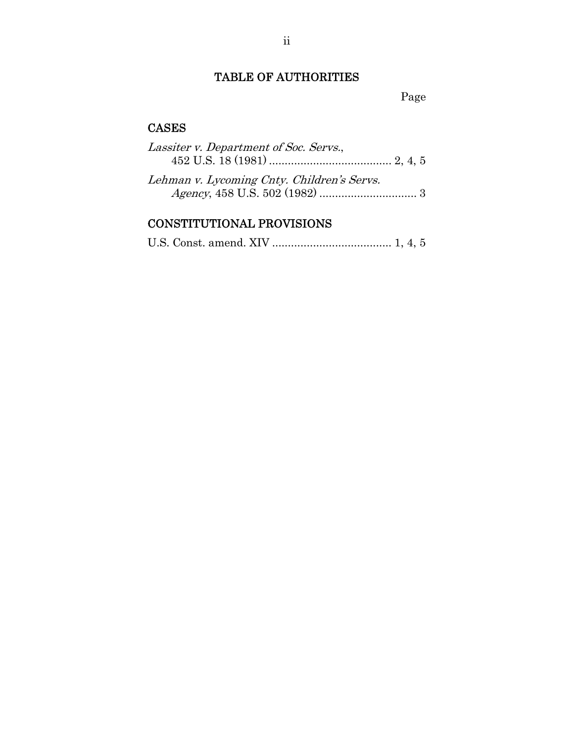## TABLE OF AUTHORITIES

TABLE OF AUTHORITIES Page

### CASES

| Lassiter v. Department of Soc. Servs.,     |  |
|--------------------------------------------|--|
|                                            |  |
| Lehman v. Lycoming Cnty. Children's Servs. |  |
|                                            |  |
|                                            |  |

# CONSTITUTIONAL PROVISIONS

|--|--|--|--|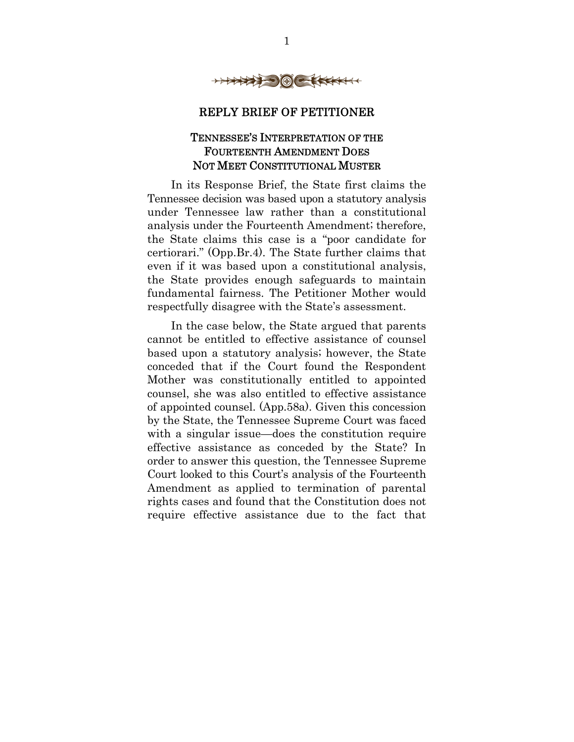

#### REPLY BRIEF OF PETITIONER

#### TENNESSEE'S INTERPRETATION OF THE FOURTEENTH AMENDMENT DOES NOT MEET CONSTITUTIONAL MUSTER

In its Response Brief, the State first claims the Tennessee decision was based upon a statutory analysis under Tennessee law rather than a constitutional analysis under the Fourteenth Amendment; therefore, the State claims this case is a "poor candidate for certiorari." (Opp.Br.4). The State further claims that even if it was based upon a constitutional analysis, the State provides enough safeguards to maintain fundamental fairness. The Petitioner Mother would respectfully disagree with the State's assessment.

In the case below, the State argued that parents cannot be entitled to effective assistance of counsel based upon a statutory analysis; however, the State conceded that if the Court found the Respondent Mother was constitutionally entitled to appointed counsel, she was also entitled to effective assistance of appointed counsel. (App.58a). Given this concession by the State, the Tennessee Supreme Court was faced with a singular issue—does the constitution require effective assistance as conceded by the State? In order to answer this question, the Tennessee Supreme Court looked to this Court's analysis of the Fourteenth Amendment as applied to termination of parental rights cases and found that the Constitution does not require effective assistance due to the fact that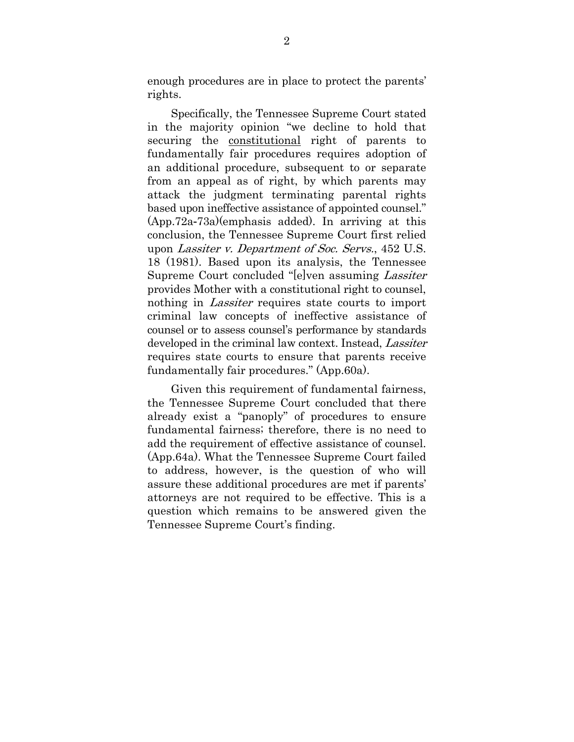enough procedures are in place to protect the parents' rights.

Specifically, the Tennessee Supreme Court stated in the majority opinion "we decline to hold that securing the constitutional right of parents to fundamentally fair procedures requires adoption of an additional procedure, subsequent to or separate from an appeal as of right, by which parents may attack the judgment terminating parental rights based upon ineffective assistance of appointed counsel." (App.72a-73a)(emphasis added). In arriving at this conclusion, the Tennessee Supreme Court first relied upon Lassiter v. Department of Soc. Servs., 452 U.S. 18 (1981). Based upon its analysis, the Tennessee Supreme Court concluded "[e]ven assuming Lassiter provides Mother with a constitutional right to counsel, nothing in *Lassiter* requires state courts to import criminal law concepts of ineffective assistance of counsel or to assess counsel's performance by standards developed in the criminal law context. Instead, *Lassiter* requires state courts to ensure that parents receive fundamentally fair procedures." (App.60a).

Given this requirement of fundamental fairness, the Tennessee Supreme Court concluded that there already exist a "panoply" of procedures to ensure fundamental fairness; therefore, there is no need to add the requirement of effective assistance of counsel. (App.64a). What the Tennessee Supreme Court failed to address, however, is the question of who will assure these additional procedures are met if parents' attorneys are not required to be effective. This is a question which remains to be answered given the Tennessee Supreme Court's finding.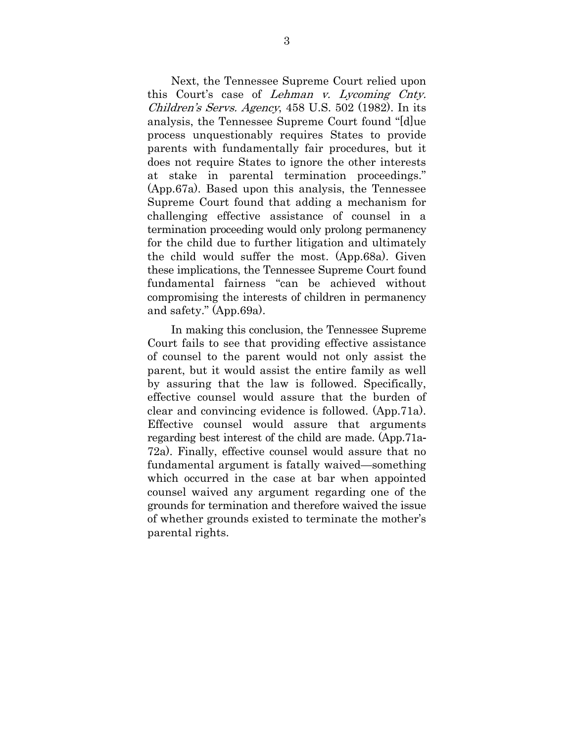Next, the Tennessee Supreme Court relied upon this Court's case of Lehman v. Lycoming Cnty. Children's Servs. Agency, 458 U.S. 502 (1982). In its analysis, the Tennessee Supreme Court found "[d]ue process unquestionably requires States to provide parents with fundamentally fair procedures, but it does not require States to ignore the other interests at stake in parental termination proceedings." (App.67a). Based upon this analysis, the Tennessee Supreme Court found that adding a mechanism for challenging effective assistance of counsel in a termination proceeding would only prolong permanency for the child due to further litigation and ultimately the child would suffer the most. (App.68a). Given these implications, the Tennessee Supreme Court found fundamental fairness "can be achieved without compromising the interests of children in permanency and safety." (App.69a).

In making this conclusion, the Tennessee Supreme Court fails to see that providing effective assistance of counsel to the parent would not only assist the parent, but it would assist the entire family as well by assuring that the law is followed. Specifically, effective counsel would assure that the burden of clear and convincing evidence is followed. (App.71a). Effective counsel would assure that arguments regarding best interest of the child are made. (App.71a-72a). Finally, effective counsel would assure that no fundamental argument is fatally waived—something which occurred in the case at bar when appointed counsel waived any argument regarding one of the grounds for termination and therefore waived the issue of whether grounds existed to terminate the mother's parental rights.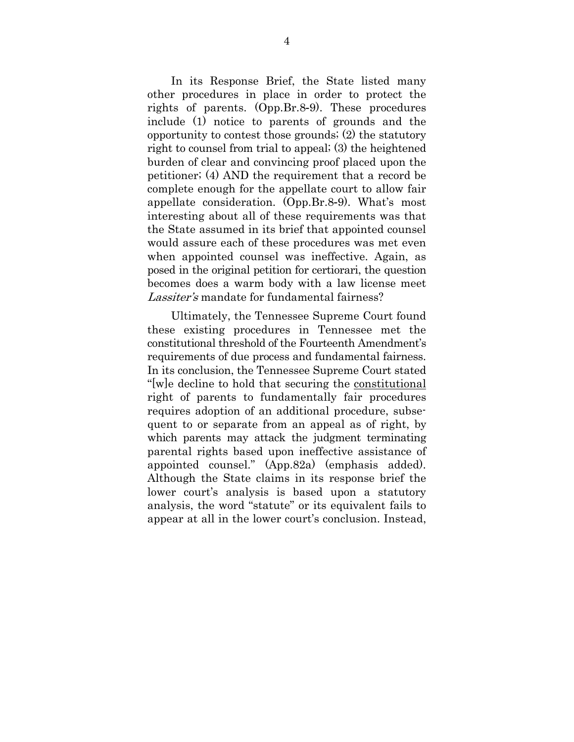In its Response Brief, the State listed many other procedures in place in order to protect the rights of parents. (Opp.Br.8-9). These procedures include (1) notice to parents of grounds and the opportunity to contest those grounds; (2) the statutory right to counsel from trial to appeal; (3) the heightened burden of clear and convincing proof placed upon the petitioner; (4) AND the requirement that a record be complete enough for the appellate court to allow fair appellate consideration. (Opp.Br.8-9). What's most interesting about all of these requirements was that the State assumed in its brief that appointed counsel would assure each of these procedures was met even when appointed counsel was ineffective. Again, as posed in the original petition for certiorari, the question becomes does a warm body with a law license meet Lassiter's mandate for fundamental fairness?

Ultimately, the Tennessee Supreme Court found these existing procedures in Tennessee met the constitutional threshold of the Fourteenth Amendment's requirements of due process and fundamental fairness. In its conclusion, the Tennessee Supreme Court stated "[w]e decline to hold that securing the constitutional right of parents to fundamentally fair procedures requires adoption of an additional procedure, subsequent to or separate from an appeal as of right, by which parents may attack the judgment terminating parental rights based upon ineffective assistance of appointed counsel." (App.82a) (emphasis added). Although the State claims in its response brief the lower court's analysis is based upon a statutory analysis, the word "statute" or its equivalent fails to appear at all in the lower court's conclusion. Instead,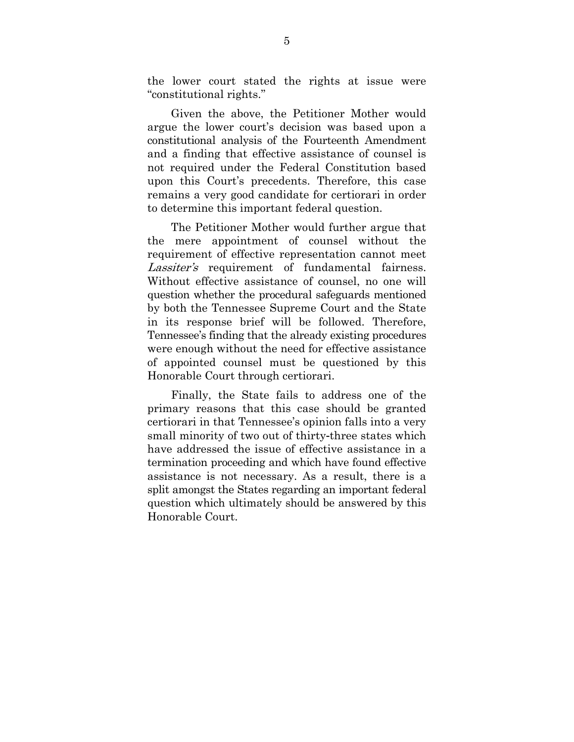the lower court stated the rights at issue were "constitutional rights."

Given the above, the Petitioner Mother would argue the lower court's decision was based upon a constitutional analysis of the Fourteenth Amendment and a finding that effective assistance of counsel is not required under the Federal Constitution based upon this Court's precedents. Therefore, this case remains a very good candidate for certiorari in order to determine this important federal question.

The Petitioner Mother would further argue that the mere appointment of counsel without the requirement of effective representation cannot meet Lassiter's requirement of fundamental fairness. Without effective assistance of counsel, no one will question whether the procedural safeguards mentioned by both the Tennessee Supreme Court and the State in its response brief will be followed. Therefore, Tennessee's finding that the already existing procedures were enough without the need for effective assistance of appointed counsel must be questioned by this Honorable Court through certiorari.

Finally, the State fails to address one of the primary reasons that this case should be granted certiorari in that Tennessee's opinion falls into a very small minority of two out of thirty-three states which have addressed the issue of effective assistance in a termination proceeding and which have found effective assistance is not necessary. As a result, there is a split amongst the States regarding an important federal question which ultimately should be answered by this Honorable Court.